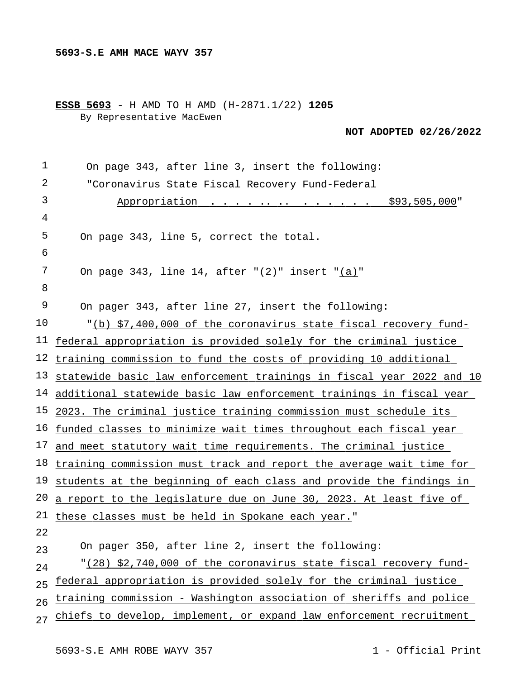**ESSB 5693** - H AMD TO H AMD (H-2871.1/22) **1205** By Representative MacEwen

**NOT ADOPTED 02/26/2022**

| $\mathbf 1$ | On page 343, after line 3, insert the following:                                                     |
|-------------|------------------------------------------------------------------------------------------------------|
| 2           | "Coronavirus State Fiscal Recovery Fund-Federal                                                      |
| 3           | $\cdot$ $\cdot$ $\cdot$ $\cdot$ $\cdot$ $\cdot$ $\cdot$ $\frac{1}{2}$ \$93,505,000"<br>Appropriation |
| 4           |                                                                                                      |
| 5           | On page 343, line 5, correct the total.                                                              |
| 6           |                                                                                                      |
| 7           | On page 343, line 14, after $(2)$ "insert "(a)"                                                      |
| 8           |                                                                                                      |
| 9           | On pager 343, after line 27, insert the following:                                                   |
| 10          | "(b) \$7,400,000 of the coronavirus state fiscal recovery fund-                                      |
| 11          | federal appropriation is provided solely for the criminal justice                                    |
| 12          | training commission to fund the costs of providing 10 additional                                     |
| 13          | statewide basic law enforcement trainings in fiscal year 2022 and 10                                 |
|             | 14 additional statewide basic law enforcement trainings in fiscal year                               |
| 15          | 2023. The criminal justice training commission must schedule its                                     |
| 16          | funded classes to minimize wait times throughout each fiscal year                                    |
|             | 17 and meet statutory wait time requirements. The criminal justice                                   |
| 18          | training commission must track and report the average wait time for                                  |
| 19          | students at the beginning of each class and provide the findings in                                  |
| 20          | a report to the legislature due on June 30, 2023. At least five of                                   |
| 21          | these classes must be held in Spokane each year."                                                    |
| 22          |                                                                                                      |
| 23          | On pager 350, after line 2, insert the following:                                                    |
| 24          | "(28) \$2,740,000 of the coronavirus state fiscal recovery fund-                                     |
| 25          | federal appropriation is provided solely for the criminal justice                                    |
| 26          | training commission - Washington association of sheriffs and police                                  |
| 27          | chiefs to develop, implement, or expand law enforcement recruitment                                  |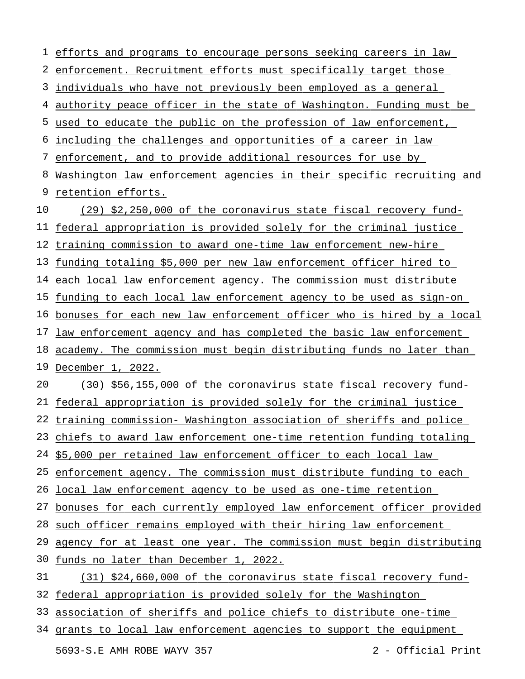efforts and programs to encourage persons seeking careers in law enforcement. Recruitment efforts must specifically target those individuals who have not previously been employed as a general 4 authority peace officer in the state of Washington. Funding must be used to educate the public on the profession of law enforcement, including the challenges and opportunities of a career in law enforcement, and to provide additional resources for use by Washington law enforcement agencies in their specific recruiting and 9 retention efforts. federal appropriation is provided solely for the criminal justice training commission to award one-time law enforcement new-hire funding totaling \$5,000 per new law enforcement officer hired to each local law enforcement agency. The commission must distribute funding to each local law enforcement agency to be used as sign-on bonuses for each new law enforcement officer who is hired by a local 17 law enforcement agency and has completed the basic law enforcement academy. The commission must begin distributing funds no later than December 1, 2022. federal appropriation is provided solely for the criminal justice training commission- Washington association of sheriffs and police 23 chiefs to award law enforcement one-time retention funding totaling \$5,000 per retained law enforcement officer to each local law 25 enforcement agency. The commission must distribute funding to each local law enforcement agency to be used as one-time retention bonuses for each currently employed law enforcement officer provided 28 such officer remains employed with their hiring law enforcement 29 agency for at least one year. The commission must begin distributing funds no later than December 1, 2022. federal appropriation is provided solely for the Washington association of sheriffs and police chiefs to distribute one-time 34 grants to local law enforcement agencies to support the equipment (29) \$2,250,000 of the coronavirus state fiscal recovery fund-(30) \$56,155,000 of the coronavirus state fiscal recovery fund-(31) \$24,660,000 of the coronavirus state fiscal recovery fund-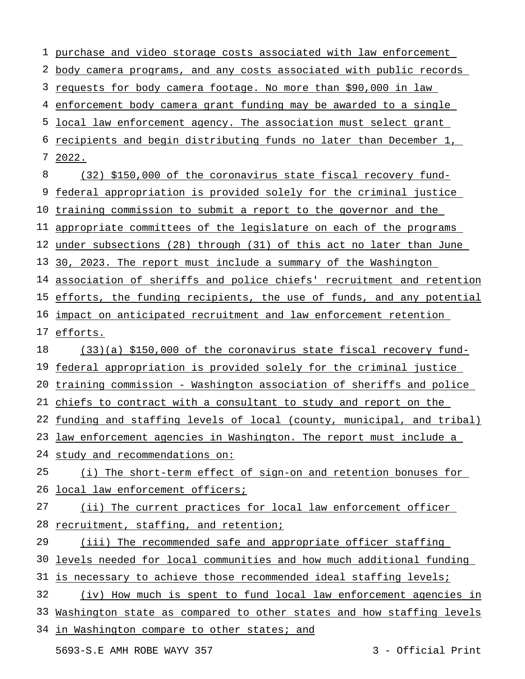1 purchase and video storage costs associated with law enforcement 2 body camera programs, and any costs associated with public records 3 requests for body camera footage. No more than \$90,000 in law 4 enforcement body camera grant funding may be awarded to a single 5 local law enforcement agency. The association must select grant 6 recipients and begin distributing funds no later than December 1, 7 2022. 8 9 federal appropriation is provided solely for the criminal justice 10 training commission to submit a report to the governor and the 11 appropriate committees of the legislature on each of the programs 12 under subsections (28) through (31) of this act no later than June 13 30, 2023. The report must include a summary of the Washington 14 association of sheriffs and police chiefs' recruitment and retention 15 efforts, the funding recipients, the use of funds, and any potential 16 impact on anticipated recruitment and law enforcement retention 17 efforts. 18 19 federal appropriation is provided solely for the criminal justice 20 training commission - Washington association of sheriffs and police 21 chiefs to contract with a consultant to study and report on the 22 funding and staffing levels of local (county, municipal, and tribal) 23 law enforcement agencies in Washington. The report must include a 24 study and recommendations on: 25 26 local law enforcement officers; 27 28 recruitment, staffing, and retention; 29 30 levels needed for local communities and how much additional funding 31 is necessary to achieve those recommended ideal staffing levels; 32 33 Washington state as compared to other states and how staffing levels 34 in Washington compare to other states; and 5693-S.E AMH ROBE WAYV 357 3 - Official Print (32) \$150,000 of the coronavirus state fiscal recovery fund-(33)(a) \$150,000 of the coronavirus state fiscal recovery fund-(i) The short-term effect of sign-on and retention bonuses for (ii) The current practices for local law enforcement officer (iii) The recommended safe and appropriate officer staffing (iv) How much is spent to fund local law enforcement agencies in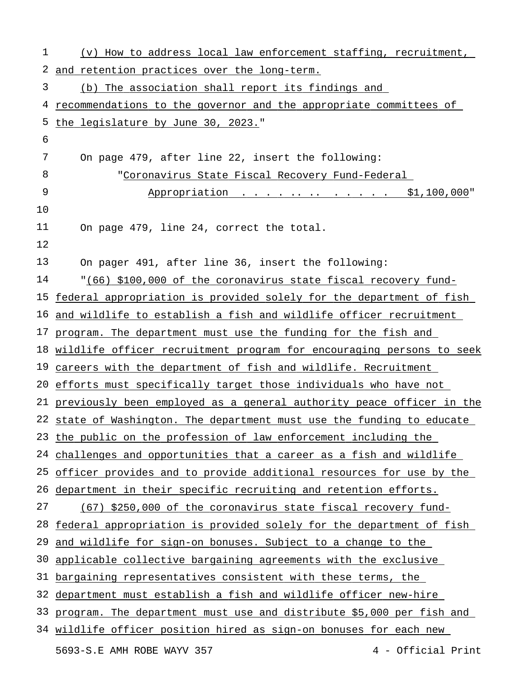| 1  | (v) How to address local law enforcement staffing, recruitment,         |
|----|-------------------------------------------------------------------------|
| 2  | and retention practices over the long-term.                             |
| 3  | (b) The association shall report its findings and                       |
| 4  | recommendations to the governor and the appropriate committees of       |
| 5  | the legislature by June 30, 2023."                                      |
| 6  |                                                                         |
| 7  | On page 479, after line 22, insert the following:                       |
| 8  | "Coronavirus State Fiscal Recovery Fund-Federal                         |
| 9  | Appropriation \$1,100,000"                                              |
| 10 |                                                                         |
| 11 | On page 479, line 24, correct the total.                                |
| 12 |                                                                         |
| 13 | On pager 491, after line 36, insert the following:                      |
| 14 | "(66) \$100,000 of the coronavirus state fiscal recovery fund-          |
| 15 | federal appropriation is provided solely for the department of fish     |
|    | 16 and wildlife to establish a fish and wildlife officer recruitment    |
|    | 17 program. The department must use the funding for the fish and        |
|    | 18 wildlife officer recruitment program for encouraging persons to seek |
|    | 19 careers with the department of fish and wildlife. Recruitment        |
|    | 20 efforts must specifically target those individuals who have not      |
|    | 21 previously been employed as a general authority peace officer in the |
|    | 22 state of Washington. The department must use the funding to educate  |
|    | 23 the public on the profession of law enforcement including the        |
| 24 | challenges and opportunities that a career as a fish and wildlife       |
| 25 | officer provides and to provide additional resources for use by the     |
| 26 | department in their specific recruiting and retention efforts.          |
| 27 | (67) \$250,000 of the coronavirus state fiscal recovery fund-           |
| 28 | federal appropriation is provided solely for the department of fish     |
| 29 | and wildlife for sign-on bonuses. Subject to a change to the            |
| 30 | applicable collective bargaining agreements with the exclusive          |
| 31 | bargaining representatives consistent with these terms, the             |
| 32 | department must establish a fish and wildlife officer new-hire          |
| 33 | program. The department must use and distribute \$5,000 per fish and    |
|    | 34 wildlife officer position hired as sign-on bonuses for each new      |
|    | 4 - Official Print<br>5693-S.E AMH ROBE WAYV 357                        |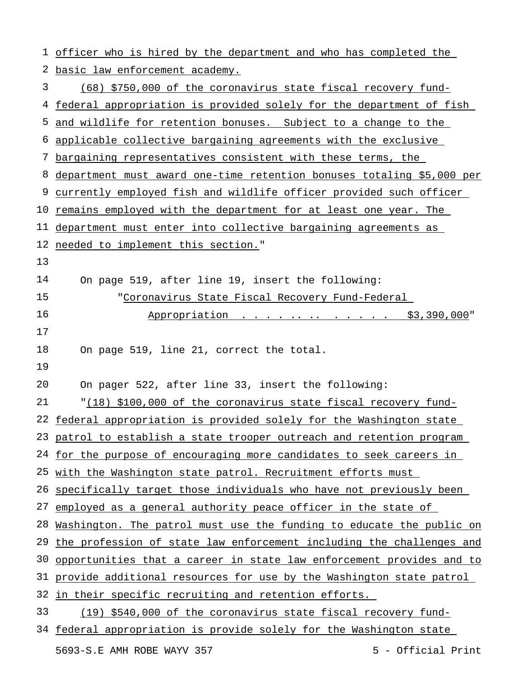1 officer who is hired by the department and who has completed the 2 basic law enforcement academy. 3 4 federal appropriation is provided solely for the department of fish 5 and wildlife for retention bonuses. Subject to a change to the 6 applicable collective bargaining agreements with the exclusive 7 bargaining representatives consistent with these terms, the 8 department must award one-time retention bonuses totaling \$5,000 per 9 currently employed fish and wildlife officer provided such officer 10 <u>remains employed with the department for at least one year. The</u> 11 department must enter into collective bargaining agreements as 12 needed to implement this section." 13 14 15 16 17 18 19 20 21 22 federal appropriation is provided solely for the Washington state 23 patrol to establish a state trooper outreach and retention program 24 for the purpose of encouraging more candidates to seek careers in 25 with the Washington state patrol. Recruitment efforts must 26 specifically target those individuals who have not previously been 27 employed as a general authority peace officer in the state of 28 Washington. The patrol must use the funding to educate the public on 29 the profession of state law enforcement including the challenges and 30 opportunities that a career in state law enforcement provides and to 31 provide additional resources for use by the Washington state patrol 32 in their specific recruiting and retention efforts. 33 34 federal appropriation is provide solely for the Washington state 5693-S.E AMH ROBE WAYV 357 5 5 5 5 - Official Print (68) \$750,000 of the coronavirus state fiscal recovery fund-On page 519, after line 19, insert the following: "Coronavirus State Fiscal Recovery Fund-Federal Appropriation . . . . . . . . . . . \$3,390,000" On page 519, line 21, correct the total. On pager 522, after line 33, insert the following: "(18) \$100,000 of the coronavirus state fiscal recovery fund-(19) \$540,000 of the coronavirus state fiscal recovery fund-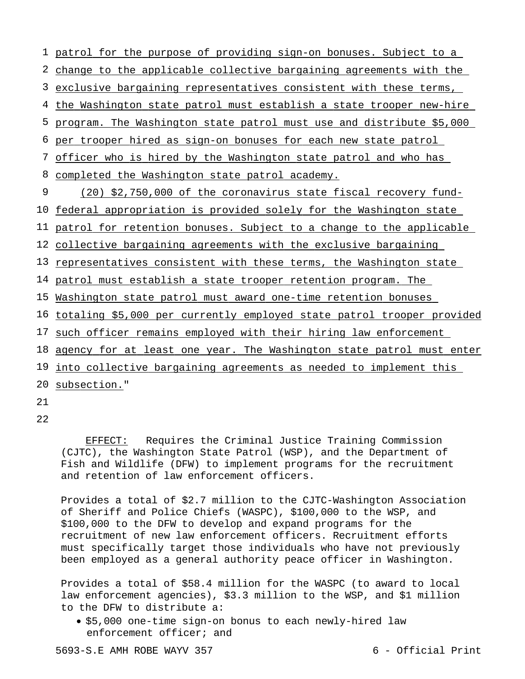patrol for the purpose of providing sign-on bonuses. Subject to a 2 change to the applicable collective bargaining agreements with the exclusive bargaining representatives consistent with these terms, the Washington state patrol must establish a state trooper new-hire program. The Washington state patrol must use and distribute \$5,000 per trooper hired as sign-on bonuses for each new state patrol officer who is hired by the Washington state patrol and who has 8 completed the Washington state patrol academy. 9 federal appropriation is provided solely for the Washington state patrol for retention bonuses. Subject to a change to the applicable collective bargaining agreements with the exclusive bargaining 13 representatives consistent with these terms, the Washington state patrol must establish a state trooper retention program. The Washington state patrol must award one-time retention bonuses totaling \$5,000 per currently employed state patrol trooper provided 17 such officer remains employed with their hiring law enforcement agency for at least one year. The Washington state patrol must enter into collective bargaining agreements as needed to implement this 20 subsection." 21 (20) \$2,750,000 of the coronavirus state fiscal recovery fund-

22

EFFECT: Requires the Criminal Justice Training Commission (CJTC), the Washington State Patrol (WSP), and the Department of Fish and Wildlife (DFW) to implement programs for the recruitment and retention of law enforcement officers.

Provides a total of \$2.7 million to the CJTC-Washington Association of Sheriff and Police Chiefs (WASPC), \$100,000 to the WSP, and \$100,000 to the DFW to develop and expand programs for the recruitment of new law enforcement officers. Recruitment efforts must specifically target those individuals who have not previously been employed as a general authority peace officer in Washington.

Provides a total of \$58.4 million for the WASPC (to award to local law enforcement agencies), \$3.3 million to the WSP, and \$1 million to the DFW to distribute a:

 \$5,000 one-time sign-on bonus to each newly-hired law enforcement officer; and